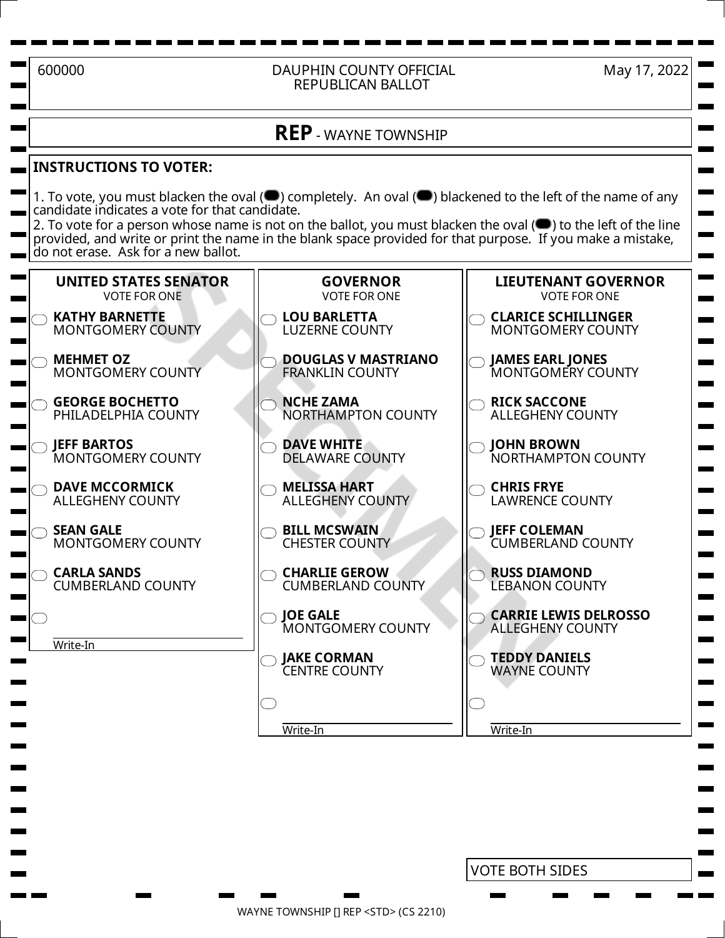## 600000 DAUPHIN COUNTY OFFICIAL REPUBLICAN BALLOT

May 17, 2022

## **REP** - WAYNE TOWNSHIP

## **INSTRUCTIONS TO VOTER:**

1. To vote, you must blacken the oval  $(\blacksquare)$  completely. An oval  $(\blacksquare)$  blackened to the left of the name of any candidate indicates a vote for that candidate.

2. To vote for a person whose name is not on the ballot, you must blacken the oval  $($ **)** to the left of the line provided, and write or print the name in the blank space provided for that purpose. If you make a mistake, do not erase. Ask for a new ballot.